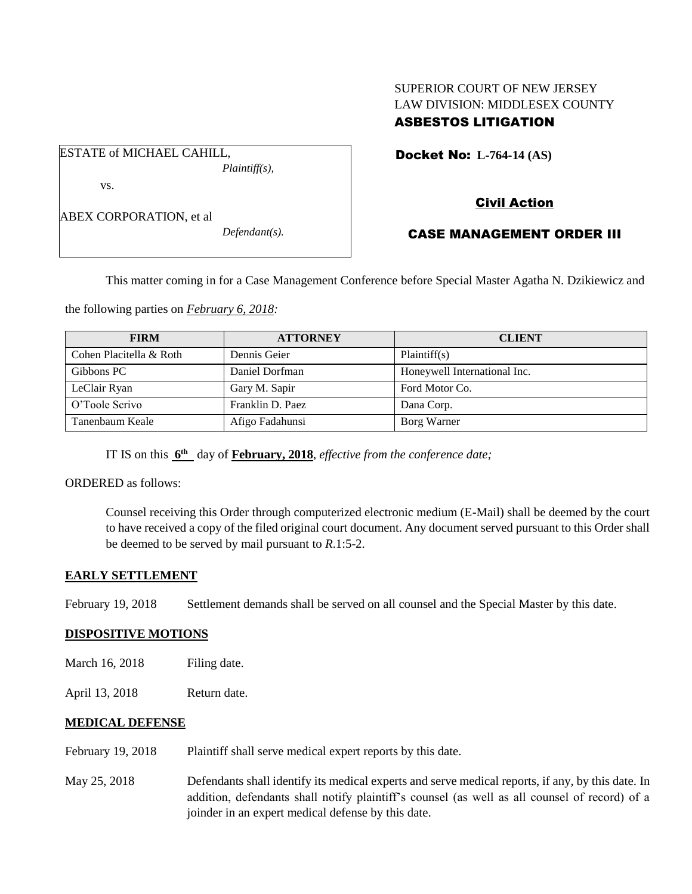# SUPERIOR COURT OF NEW JERSEY LAW DIVISION: MIDDLESEX COUNTY ASBESTOS LITIGATION

Docket No: **L-764-14 (AS)** 

vs.

ABEX CORPORATION, et al

ESTATE of MICHAEL CAHILL,

*Defendant(s).*

*Plaintiff(s),*

## Civil Action

## CASE MANAGEMENT ORDER III

This matter coming in for a Case Management Conference before Special Master Agatha N. Dzikiewicz and

the following parties on *February 6, 2018:*

| <b>FIRM</b>             | <b>ATTORNEY</b>  | <b>CLIENT</b>                |
|-------------------------|------------------|------------------------------|
| Cohen Placitella & Roth | Dennis Geier     | Plaintiff(s)                 |
| Gibbons PC              | Daniel Dorfman   | Honeywell International Inc. |
| LeClair Ryan            | Gary M. Sapir    | Ford Motor Co.               |
| O'Toole Scrivo          | Franklin D. Paez | Dana Corp.                   |
| Tanenbaum Keale         | Afigo Fadahunsi  | Borg Warner                  |

IT IS on this  $6^{\text{th}}$  day of **February, 2018**, *effective from the conference date*;

ORDERED as follows:

Counsel receiving this Order through computerized electronic medium (E-Mail) shall be deemed by the court to have received a copy of the filed original court document. Any document served pursuant to this Order shall be deemed to be served by mail pursuant to *R*.1:5-2.

## **EARLY SETTLEMENT**

February 19, 2018 Settlement demands shall be served on all counsel and the Special Master by this date.

#### **DISPOSITIVE MOTIONS**

- March 16, 2018 Filing date.
- April 13, 2018 Return date.

#### **MEDICAL DEFENSE**

- February 19, 2018 Plaintiff shall serve medical expert reports by this date.
- May 25, 2018 Defendants shall identify its medical experts and serve medical reports, if any, by this date. In addition, defendants shall notify plaintiff's counsel (as well as all counsel of record) of a joinder in an expert medical defense by this date.